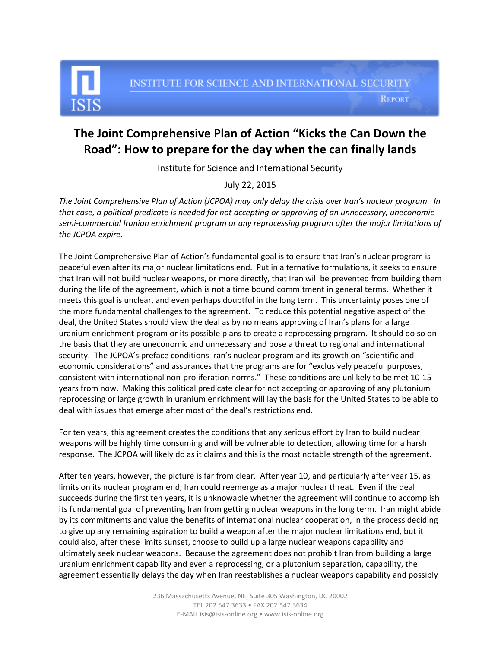**REPORT** 

## **The Joint Comprehensive Plan of Action "Kicks the Can Down the Road": How to prepare for the day when the can finally lands**

Institute for Science and International Security

## July 22, 2015

*The Joint Comprehensive Plan of Action (JCPOA) may only delay the crisis over Iran's nuclear program. In that case, a political predicate is needed for not accepting or approving of an unnecessary, uneconomic semi-commercial Iranian enrichment program or any reprocessing program after the major limitations of the JCPOA expire.* 

The Joint Comprehensive Plan of Action's fundamental goal is to ensure that Iran's nuclear program is peaceful even after its major nuclear limitations end. Put in alternative formulations, it seeks to ensure that Iran will not build nuclear weapons, or more directly, that Iran will be prevented from building them during the life of the agreement, which is not a time bound commitment in general terms. Whether it meets this goal is unclear, and even perhaps doubtful in the long term. This uncertainty poses one of the more fundamental challenges to the agreement. To reduce this potential negative aspect of the deal, the United States should view the deal as by no means approving of Iran's plans for a large uranium enrichment program or its possible plans to create a reprocessing program. It should do so on the basis that they are uneconomic and unnecessary and pose a threat to regional and international security. The JCPOA's preface conditions Iran's nuclear program and its growth on "scientific and economic considerations" and assurances that the programs are for "exclusively peaceful purposes, consistent with international non-proliferation norms." These conditions are unlikely to be met 10-15 years from now. Making this political predicate clear for not accepting or approving of any plutonium reprocessing or large growth in uranium enrichment will lay the basis for the United States to be able to deal with issues that emerge after most of the deal's restrictions end.

For ten years, this agreement creates the conditions that any serious effort by Iran to build nuclear weapons will be highly time consuming and will be vulnerable to detection, allowing time for a harsh response. The JCPOA will likely do as it claims and this is the most notable strength of the agreement.

After ten years, however, the picture is far from clear. After year 10, and particularly after year 15, as limits on its nuclear program end, Iran could reemerge as a major nuclear threat. Even if the deal succeeds during the first ten years, it is unknowable whether the agreement will continue to accomplish its fundamental goal of preventing Iran from getting nuclear weapons in the long term. Iran might abide by its commitments and value the benefits of international nuclear cooperation, in the process deciding to give up any remaining aspiration to build a weapon after the major nuclear limitations end, but it could also, after these limits sunset, choose to build up a large nuclear weapons capability and ultimately seek nuclear weapons. Because the agreement does not prohibit Iran from building a large uranium enrichment capability and even a reprocessing, or a plutonium separation, capability, the agreement essentially delays the day when Iran reestablishes a nuclear weapons capability and possibly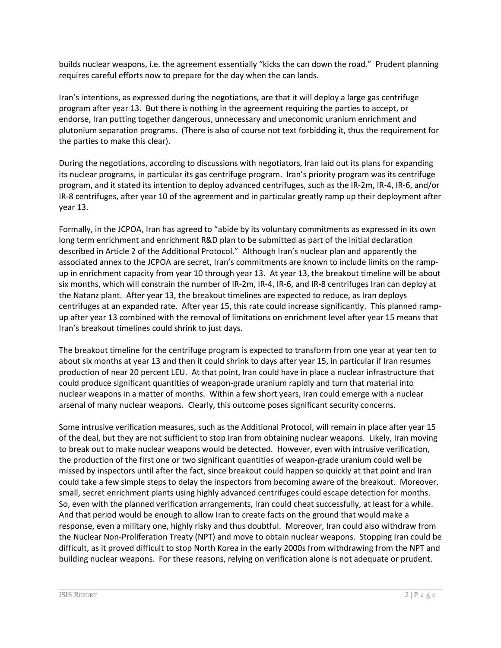builds nuclear weapons, i.e. the agreement essentially "kicks the can down the road." Prudent planning requires careful efforts now to prepare for the day when the can lands.

Iran's intentions, as expressed during the negotiations, are that it will deploy a large gas centrifuge program after year 13. But there is nothing in the agreement requiring the parties to accept, or endorse, Iran putting together dangerous, unnecessary and uneconomic uranium enrichment and plutonium separation programs. (There is also of course not text forbidding it, thus the requirement for the parties to make this clear).

During the negotiations, according to discussions with negotiators, Iran laid out its plans for expanding its nuclear programs, in particular its gas centrifuge program. Iran's priority program was its centrifuge program, and it stated its intention to deploy advanced centrifuges, such as the IR-2m, IR-4, IR-6, and/or IR-8 centrifuges, after year 10 of the agreement and in particular greatly ramp up their deployment after year 13.

Formally, in the JCPOA, Iran has agreed to "abide by its voluntary commitments as expressed in its own long term enrichment and enrichment R&D plan to be submitted as part of the initial declaration described in Article 2 of the Additional Protocol." Although Iran's nuclear plan and apparently the associated annex to the JCPOA are secret, Iran's commitments are known to include limits on the rampup in enrichment capacity from year 10 through year 13. At year 13, the breakout timeline will be about six months, which will constrain the number of IR-2m, IR-4, IR-6, and IR-8 centrifuges Iran can deploy at the Natanz plant. After year 13, the breakout timelines are expected to reduce, as Iran deploys centrifuges at an expanded rate. After year 15, this rate could increase significantly. This planned rampup after year 13 combined with the removal of limitations on enrichment level after year 15 means that Iran's breakout timelines could shrink to just days.

The breakout timeline for the centrifuge program is expected to transform from one year at year ten to about six months at year 13 and then it could shrink to days after year 15, in particular if Iran resumes production of near 20 percent LEU. At that point, Iran could have in place a nuclear infrastructure that could produce significant quantities of weapon-grade uranium rapidly and turn that material into nuclear weapons in a matter of months. Within a few short years, Iran could emerge with a nuclear arsenal of many nuclear weapons. Clearly, this outcome poses significant security concerns.

Some intrusive verification measures, such as the Additional Protocol, will remain in place after year 15 of the deal, but they are not sufficient to stop Iran from obtaining nuclear weapons. Likely, Iran moving to break out to make nuclear weapons would be detected. However, even with intrusive verification, the production of the first one or two significant quantities of weapon-grade uranium could well be missed by inspectors until after the fact, since breakout could happen so quickly at that point and Iran could take a few simple steps to delay the inspectors from becoming aware of the breakout. Moreover, small, secret enrichment plants using highly advanced centrifuges could escape detection for months. So, even with the planned verification arrangements, Iran could cheat successfully, at least for a while. And that period would be enough to allow Iran to create facts on the ground that would make a response, even a military one, highly risky and thus doubtful. Moreover, Iran could also withdraw from the Nuclear Non-Proliferation Treaty (NPT) and move to obtain nuclear weapons. Stopping Iran could be difficult, as it proved difficult to stop North Korea in the early 2000s from withdrawing from the NPT and building nuclear weapons. For these reasons, relying on verification alone is not adequate or prudent.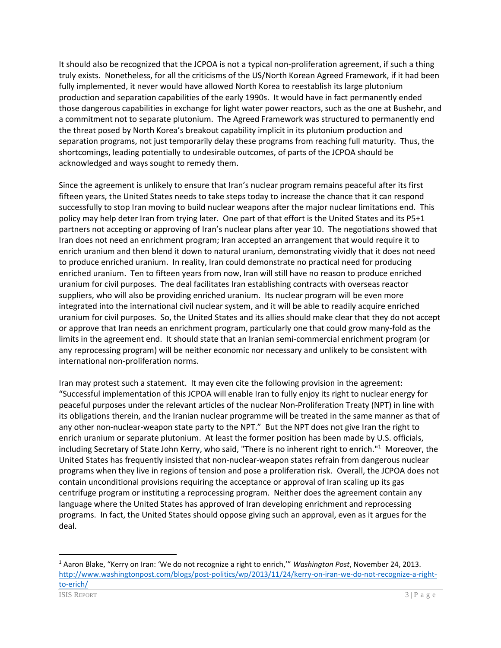It should also be recognized that the JCPOA is not a typical non-proliferation agreement, if such a thing truly exists. Nonetheless, for all the criticisms of the US/North Korean Agreed Framework, if it had been fully implemented, it never would have allowed North Korea to reestablish its large plutonium production and separation capabilities of the early 1990s. It would have in fact permanently ended those dangerous capabilities in exchange for light water power reactors, such as the one at Bushehr, and a commitment not to separate plutonium. The Agreed Framework was structured to permanently end the threat posed by North Korea's breakout capability implicit in its plutonium production and separation programs, not just temporarily delay these programs from reaching full maturity. Thus, the shortcomings, leading potentially to undesirable outcomes, of parts of the JCPOA should be acknowledged and ways sought to remedy them.

Since the agreement is unlikely to ensure that Iran's nuclear program remains peaceful after its first fifteen years, the United States needs to take steps today to increase the chance that it can respond successfully to stop Iran moving to build nuclear weapons after the major nuclear limitations end. This policy may help deter Iran from trying later. One part of that effort is the United States and its P5+1 partners not accepting or approving of Iran's nuclear plans after year 10. The negotiations showed that Iran does not need an enrichment program; Iran accepted an arrangement that would require it to enrich uranium and then blend it down to natural uranium, demonstrating vividly that it does not need to produce enriched uranium. In reality, Iran could demonstrate no practical need for producing enriched uranium. Ten to fifteen years from now, Iran will still have no reason to produce enriched uranium for civil purposes. The deal facilitates Iran establishing contracts with overseas reactor suppliers, who will also be providing enriched uranium. Its nuclear program will be even more integrated into the international civil nuclear system, and it will be able to readily acquire enriched uranium for civil purposes. So, the United States and its allies should make clear that they do not accept or approve that Iran needs an enrichment program, particularly one that could grow many-fold as the limits in the agreement end. It should state that an Iranian semi-commercial enrichment program (or any reprocessing program) will be neither economic nor necessary and unlikely to be consistent with international non-proliferation norms.

Iran may protest such a statement. It may even cite the following provision in the agreement: "Successful implementation of this JCPOA will enable Iran to fully enjoy its right to nuclear energy for peaceful purposes under the relevant articles of the nuclear Non-Proliferation Treaty (NPT) in line with its obligations therein, and the Iranian nuclear programme will be treated in the same manner as that of any other non-nuclear-weapon state party to the NPT." But the NPT does not give Iran the right to enrich uranium or separate plutonium. At least the former position has been made by U.S. officials, including Secretary of State John Kerry, who said, "There is no inherent right to enrich." 1 Moreover, the United States has frequently insisted that non-nuclear-weapon states refrain from dangerous nuclear programs when they live in regions of tension and pose a proliferation risk. Overall, the JCPOA does not contain unconditional provisions requiring the acceptance or approval of Iran scaling up its gas centrifuge program or instituting a reprocessing program. Neither does the agreement contain any language where the United States has approved of Iran developing enrichment and reprocessing programs. In fact, the United States should oppose giving such an approval, even as it argues for the deal.

 $\overline{\phantom{a}}$ 

<sup>1</sup> Aaron Blake, "Kerry on Iran: 'We do not recognize a right to enrich,'" *Washington Post*, November 24, 2013. [http://www.washingtonpost.com/blogs/post-politics/wp/2013/11/24/kerry-on-iran-we-do-not-recognize-a-right](http://www.washingtonpost.com/blogs/post-politics/wp/2013/11/24/kerry-on-iran-we-do-not-recognize-a-right-to-erich/)[to-erich/](http://www.washingtonpost.com/blogs/post-politics/wp/2013/11/24/kerry-on-iran-we-do-not-recognize-a-right-to-erich/)